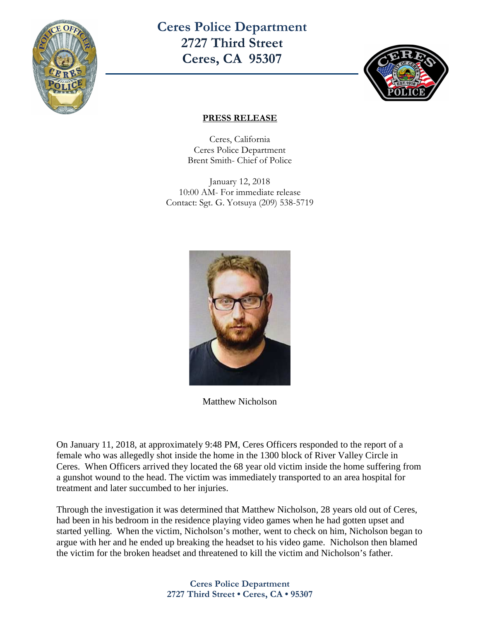

**Ceres Police Department 2727 Third Street Ceres, CA 95307** 



## **PRESS RELEASE**

Ceres, California Ceres Police Department Brent Smith- Chief of Police

January 12, 2018 10:00 AM- For immediate release Contact: Sgt. G. Yotsuya (209) 538-5719



Matthew Nicholson

On January 11, 2018, at approximately 9:48 PM, Ceres Officers responded to the report of a female who was allegedly shot inside the home in the 1300 block of River Valley Circle in Ceres. When Officers arrived they located the 68 year old victim inside the home suffering from a gunshot wound to the head. The victim was immediately transported to an area hospital for treatment and later succumbed to her injuries.

Through the investigation it was determined that Matthew Nicholson, 28 years old out of Ceres, had been in his bedroom in the residence playing video games when he had gotten upset and started yelling. When the victim, Nicholson's mother, went to check on him, Nicholson began to argue with her and he ended up breaking the headset to his video game. Nicholson then blamed the victim for the broken headset and threatened to kill the victim and Nicholson's father.

> **Ceres Police Department 2727 Third Street • Ceres, CA • 95307**